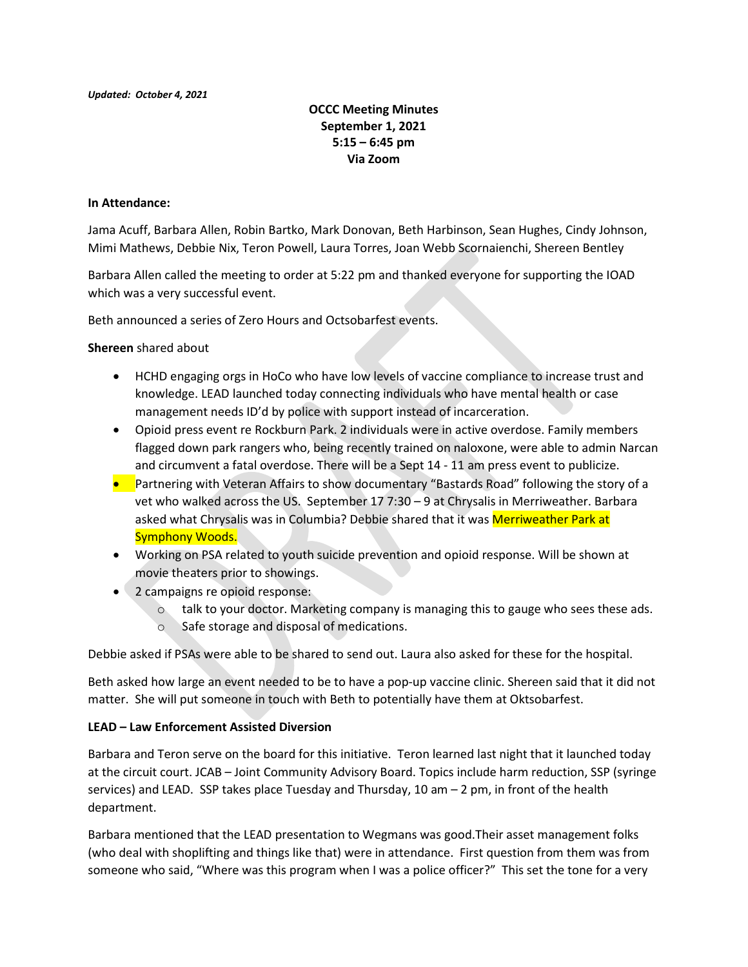OCCC Meeting Minutes September 1, 2021  $5:15 - 6:45$  pm Via Zoom

## In Attendance:

Jama Acuff, Barbara Allen, Robin Bartko, Mark Donovan, Beth Harbinson, Sean Hughes, Cindy Johnson, Mimi Mathews, Debbie Nix, Teron Powell, Laura Torres, Joan Webb Scornaienchi, Shereen Bentley

Barbara Allen called the meeting to order at 5:22 pm and thanked everyone for supporting the IOAD which was a very successful event.

Beth announced a series of Zero Hours and Octsobarfest events.

Shereen shared about

- HCHD engaging orgs in HoCo who have low levels of vaccine compliance to increase trust and knowledge. LEAD launched today connecting individuals who have mental health or case management needs ID'd by police with support instead of incarceration.
- Opioid press event re Rockburn Park. 2 individuals were in active overdose. Family members flagged down park rangers who, being recently trained on naloxone, were able to admin Narcan and circumvent a fatal overdose. There will be a Sept 14 - 11 am press event to publicize.
- **•** Partnering with Veteran Affairs to show documentary "Bastards Road" following the story of a vet who walked across the US. September 17 7:30 – 9 at Chrysalis in Merriweather. Barbara asked what Chrysalis was in Columbia? Debbie shared that it was Merriweather Park at Symphony Woods.
- Working on PSA related to youth suicide prevention and opioid response. Will be shown at movie theaters prior to showings.
- 2 campaigns re opioid response:
	- o talk to your doctor. Marketing company is managing this to gauge who sees these ads.
	- o Safe storage and disposal of medications.

Debbie asked if PSAs were able to be shared to send out. Laura also asked for these for the hospital.

Beth asked how large an event needed to be to have a pop-up vaccine clinic. Shereen said that it did not matter. She will put someone in touch with Beth to potentially have them at Oktsobarfest.

## LEAD – Law Enforcement Assisted Diversion

Barbara and Teron serve on the board for this initiative. Teron learned last night that it launched today at the circuit court. JCAB – Joint Community Advisory Board. Topics include harm reduction, SSP (syringe services) and LEAD. SSP takes place Tuesday and Thursday, 10 am – 2 pm, in front of the health department.

Barbara mentioned that the LEAD presentation to Wegmans was good.Their asset management folks (who deal with shoplifting and things like that) were in attendance. First question from them was from someone who said, "Where was this program when I was a police officer?" This set the tone for a very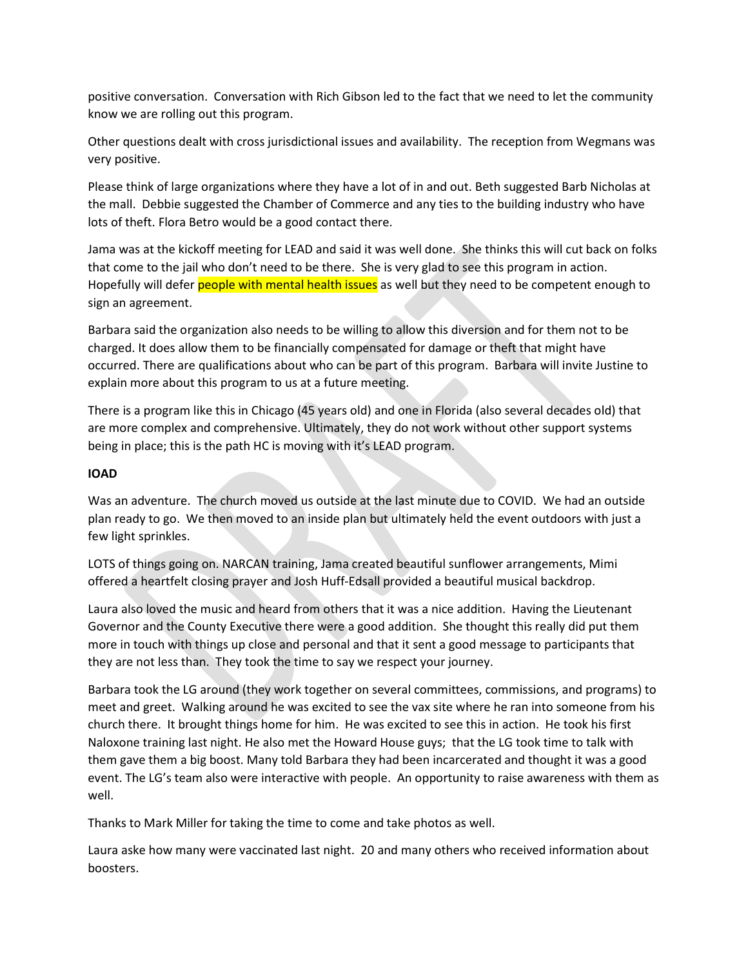positive conversation. Conversation with Rich Gibson led to the fact that we need to let the community know we are rolling out this program.

Other questions dealt with cross jurisdictional issues and availability. The reception from Wegmans was very positive.

Please think of large organizations where they have a lot of in and out. Beth suggested Barb Nicholas at the mall. Debbie suggested the Chamber of Commerce and any ties to the building industry who have lots of theft. Flora Betro would be a good contact there.

Jama was at the kickoff meeting for LEAD and said it was well done. She thinks this will cut back on folks that come to the jail who don't need to be there. She is very glad to see this program in action. Hopefully will defer people with mental health issues as well but they need to be competent enough to sign an agreement.

Barbara said the organization also needs to be willing to allow this diversion and for them not to be charged. It does allow them to be financially compensated for damage or theft that might have occurred. There are qualifications about who can be part of this program. Barbara will invite Justine to explain more about this program to us at a future meeting.

There is a program like this in Chicago (45 years old) and one in Florida (also several decades old) that are more complex and comprehensive. Ultimately, they do not work without other support systems being in place; this is the path HC is moving with it's LEAD program.

## IOAD

Was an adventure. The church moved us outside at the last minute due to COVID. We had an outside plan ready to go. We then moved to an inside plan but ultimately held the event outdoors with just a few light sprinkles.

LOTS of things going on. NARCAN training, Jama created beautiful sunflower arrangements, Mimi offered a heartfelt closing prayer and Josh Huff-Edsall provided a beautiful musical backdrop.

Laura also loved the music and heard from others that it was a nice addition. Having the Lieutenant Governor and the County Executive there were a good addition. She thought this really did put them more in touch with things up close and personal and that it sent a good message to participants that they are not less than. They took the time to say we respect your journey.

Barbara took the LG around (they work together on several committees, commissions, and programs) to meet and greet. Walking around he was excited to see the vax site where he ran into someone from his church there. It brought things home for him. He was excited to see this in action. He took his first Naloxone training last night. He also met the Howard House guys; that the LG took time to talk with them gave them a big boost. Many told Barbara they had been incarcerated and thought it was a good event. The LG's team also were interactive with people. An opportunity to raise awareness with them as well.

Thanks to Mark Miller for taking the time to come and take photos as well.

Laura aske how many were vaccinated last night. 20 and many others who received information about boosters.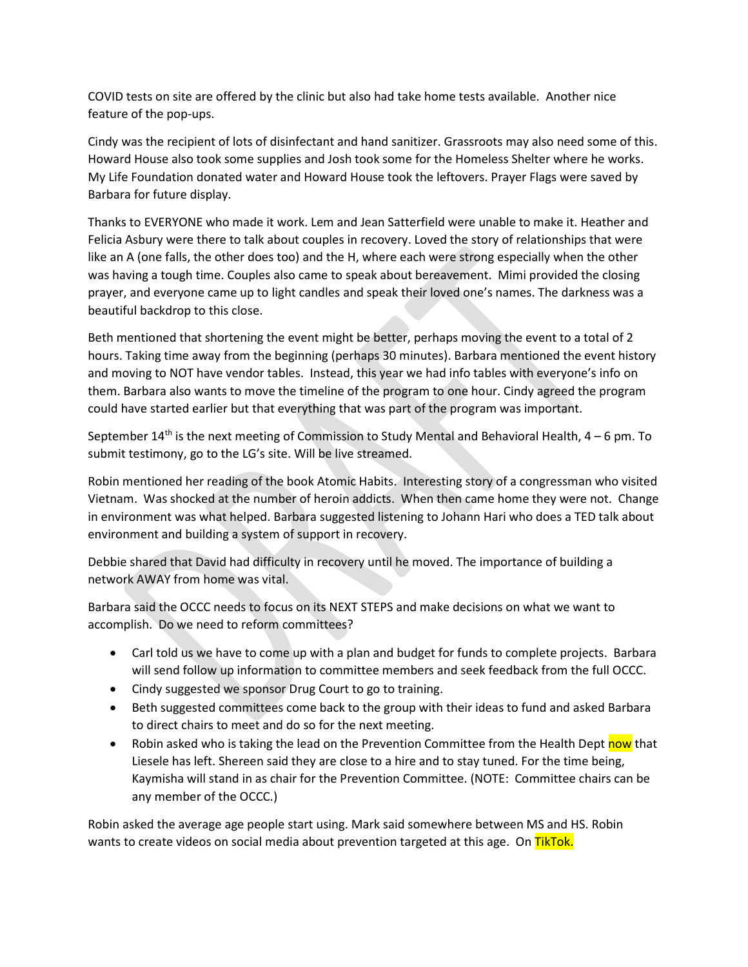COVID tests on site are offered by the clinic but also had take home tests available. Another nice feature of the pop-ups.

Cindy was the recipient of lots of disinfectant and hand sanitizer. Grassroots may also need some of this. Howard House also took some supplies and Josh took some for the Homeless Shelter where he works. My Life Foundation donated water and Howard House took the leftovers. Prayer Flags were saved by Barbara for future display.

Thanks to EVERYONE who made it work. Lem and Jean Satterfield were unable to make it. Heather and Felicia Asbury were there to talk about couples in recovery. Loved the story of relationships that were like an A (one falls, the other does too) and the H, where each were strong especially when the other was having a tough time. Couples also came to speak about bereavement. Mimi provided the closing prayer, and everyone came up to light candles and speak their loved one's names. The darkness was a beautiful backdrop to this close.

Beth mentioned that shortening the event might be better, perhaps moving the event to a total of 2 hours. Taking time away from the beginning (perhaps 30 minutes). Barbara mentioned the event history and moving to NOT have vendor tables. Instead, this year we had info tables with everyone's info on them. Barbara also wants to move the timeline of the program to one hour. Cindy agreed the program could have started earlier but that everything that was part of the program was important.

September  $14<sup>th</sup>$  is the next meeting of Commission to Study Mental and Behavioral Health,  $4-6$  pm. To submit testimony, go to the LG's site. Will be live streamed.

Robin mentioned her reading of the book Atomic Habits. Interesting story of a congressman who visited Vietnam. Was shocked at the number of heroin addicts. When then came home they were not. Change in environment was what helped. Barbara suggested listening to Johann Hari who does a TED talk about environment and building a system of support in recovery.

Debbie shared that David had difficulty in recovery until he moved. The importance of building a network AWAY from home was vital.

Barbara said the OCCC needs to focus on its NEXT STEPS and make decisions on what we want to accomplish. Do we need to reform committees?

- Carl told us we have to come up with a plan and budget for funds to complete projects. Barbara will send follow up information to committee members and seek feedback from the full OCCC.
- Cindy suggested we sponsor Drug Court to go to training.
- Beth suggested committees come back to the group with their ideas to fund and asked Barbara to direct chairs to meet and do so for the next meeting.
- Robin asked who is taking the lead on the Prevention Committee from the Health Dept now that Liesele has left. Shereen said they are close to a hire and to stay tuned. For the time being, Kaymisha will stand in as chair for the Prevention Committee. (NOTE: Committee chairs can be any member of the OCCC.)

Robin asked the average age people start using. Mark said somewhere between MS and HS. Robin wants to create videos on social media about prevention targeted at this age. On TikTok.